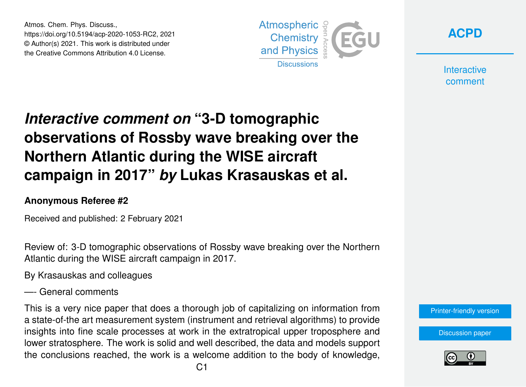Atmos. Chem. Phys. Discuss., https://doi.org/10.5194/acp-2020-1053-RC2, 2021 © Author(s) 2021. This work is distributed under the Creative Commons Attribution 4.0 License.





**Interactive** comment

## *Interactive comment on* **"3-D tomographic observations of Rossby wave breaking over the Northern Atlantic during the WISE aircraft campaign in 2017"** *by* **Lukas Krasauskas et al.**

## **Anonymous Referee #2**

Received and published: 2 February 2021

Review of: 3-D tomographic observations of Rossby wave breaking over the Northern Atlantic during the WISE aircraft campaign in 2017.

By Krasauskas and colleagues

—- General comments

This is a very nice paper that does a thorough job of capitalizing on information from a state-of-the art measurement system (instrument and retrieval algorithms) to provide insights into fine scale processes at work in the extratropical upper troposphere and lower stratosphere. The work is solid and well described, the data and models support the conclusions reached, the work is a welcome addition to the body of knowledge,

[Printer-friendly version](https://acp.copernicus.org/preprints/acp-2020-1053/acp-2020-1053-RC2-print.pdf)

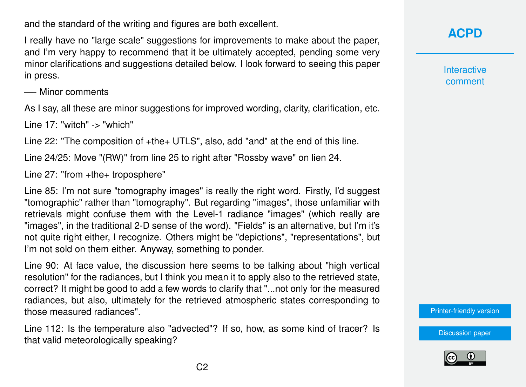and the standard of the writing and figures are both excellent.

I really have no "large scale" suggestions for improvements to make about the paper, and I'm very happy to recommend that it be ultimately accepted, pending some very minor clarifications and suggestions detailed below. I look forward to seeing this paper in press.

—- Minor comments

As I say, all these are minor suggestions for improved wording, clarity, clarification, etc.

Line 17: "witch" -> "which"

Line 22: "The composition of +the+ UTLS", also, add "and" at the end of this line.

Line 24/25: Move "(RW)" from line 25 to right after "Rossby wave" on lien 24.

Line 27: "from +the+ troposphere"

Line 85: I'm not sure "tomography images" is really the right word. Firstly, I'd suggest "tomographic" rather than "tomography". But regarding "images", those unfamiliar with retrievals might confuse them with the Level-1 radiance "images" (which really are "images", in the traditional 2-D sense of the word). "Fields" is an alternative, but I'm it's not quite right either, I recognize. Others might be "depictions", "representations", but I'm not sold on them either. Anyway, something to ponder.

Line 90: At face value, the discussion here seems to be talking about "high vertical resolution" for the radiances, but I think you mean it to apply also to the retrieved state, correct? It might be good to add a few words to clarify that "...not only for the measured radiances, but also, ultimately for the retrieved atmospheric states corresponding to those measured radiances".

Line 112: Is the temperature also "advected"? If so, how, as some kind of tracer? Is that valid meteorologically speaking?

**[ACPD](https://acp.copernicus.org/preprints/)**

**Interactive** comment

[Printer-friendly version](https://acp.copernicus.org/preprints/acp-2020-1053/acp-2020-1053-RC2-print.pdf)

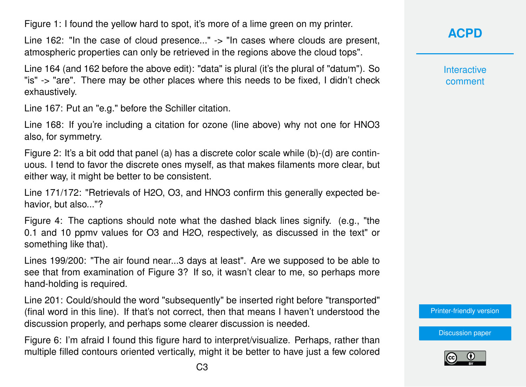Figure 1: I found the yellow hard to spot, it's more of a lime green on my printer.

Line 162: "In the case of cloud presence..." -> "In cases where clouds are present, atmospheric properties can only be retrieved in the regions above the cloud tops".

Line 164 (and 162 before the above edit): "data" is plural (it's the plural of "datum"). So "is" -> "are". There may be other places where this needs to be fixed, I didn't check exhaustively.

Line 167: Put an "e.g." before the Schiller citation.

Line 168: If you're including a citation for ozone (line above) why not one for HNO3 also, for symmetry.

Figure 2: It's a bit odd that panel (a) has a discrete color scale while (b)-(d) are continuous. I tend to favor the discrete ones myself, as that makes filaments more clear, but either way, it might be better to be consistent.

Line 171/172: "Retrievals of H2O, O3, and HNO3 confirm this generally expected behavior, but also..."?

Figure 4: The captions should note what the dashed black lines signify. (e.g., "the 0.1 and 10 ppmv values for O3 and H2O, respectively, as discussed in the text" or something like that).

Lines 199/200: "The air found near...3 days at least". Are we supposed to be able to see that from examination of Figure 3? If so, it wasn't clear to me, so perhaps more hand-holding is required.

Line 201: Could/should the word "subsequently" be inserted right before "transported" (final word in this line). If that's not correct, then that means I haven't understood the discussion properly, and perhaps some clearer discussion is needed.

Figure 6: I'm afraid I found this figure hard to interpret/visualize. Perhaps, rather than multiple filled contours oriented vertically, might it be better to have just a few colored **[ACPD](https://acp.copernicus.org/preprints/)**

**Interactive** comment

[Printer-friendly version](https://acp.copernicus.org/preprints/acp-2020-1053/acp-2020-1053-RC2-print.pdf)